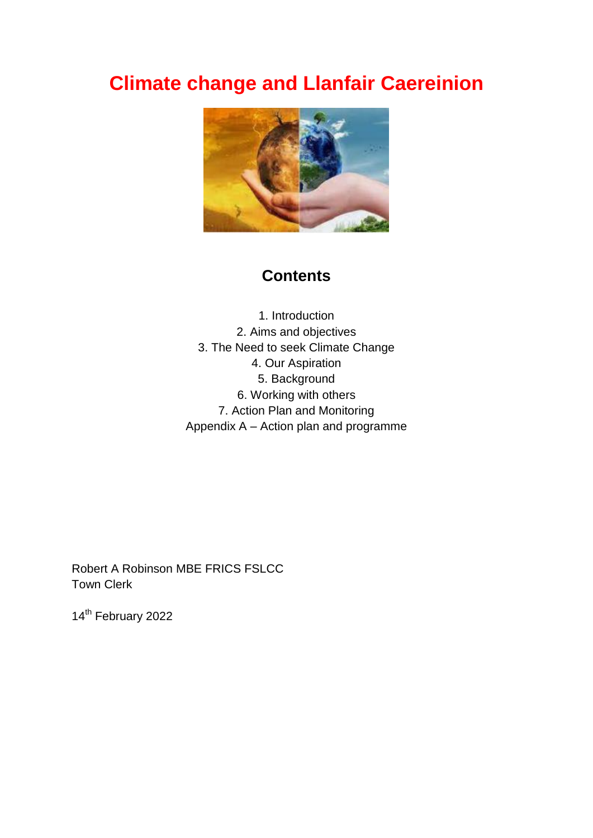# **Climate change and Llanfair Caereinion**



# **Contents**

1. Introduction 2. Aims and objectives 3. The Need to seek Climate Change 4. Our Aspiration 5. Background 6. Working with others 7. Action Plan and Monitoring Appendix A – Action plan and programme

Robert A Robinson MBE FRICS FSLCC Town Clerk

14<sup>th</sup> February 2022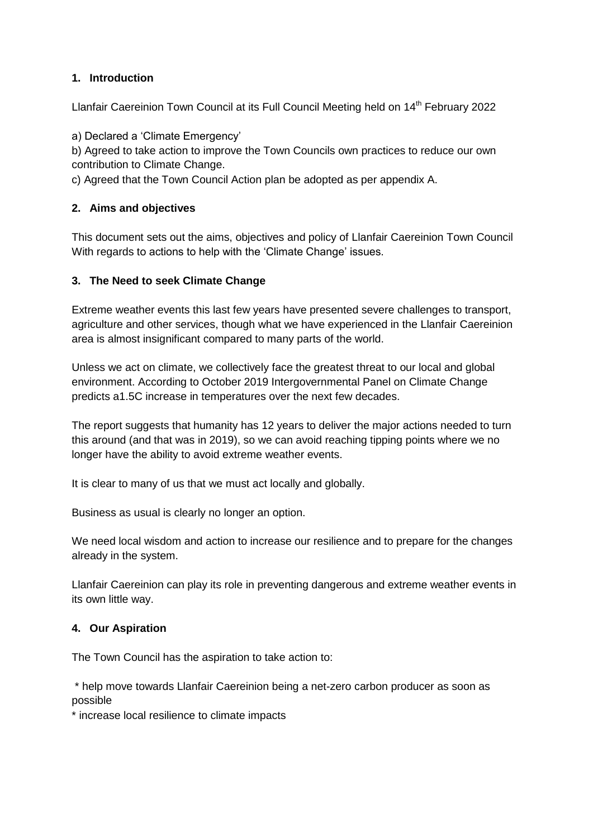#### **1. Introduction**

Llanfair Caereinion Town Council at its Full Council Meeting held on 14<sup>th</sup> February 2022

a) Declared a 'Climate Emergency'

b) Agreed to take action to improve the Town Councils own practices to reduce our own contribution to Climate Change.

c) Agreed that the Town Council Action plan be adopted as per appendix A.

#### **2. Aims and objectives**

This document sets out the aims, objectives and policy of Llanfair Caereinion Town Council With regards to actions to help with the 'Climate Change' issues.

#### **3. The Need to seek Climate Change**

Extreme weather events this last few years have presented severe challenges to transport, agriculture and other services, though what we have experienced in the Llanfair Caereinion area is almost insignificant compared to many parts of the world.

Unless we act on climate, we collectively face the greatest threat to our local and global environment. According to October 2019 Intergovernmental Panel on Climate Change predicts a1.5C increase in temperatures over the next few decades.

The report suggests that humanity has 12 years to deliver the major actions needed to turn this around (and that was in 2019), so we can avoid reaching tipping points where we no longer have the ability to avoid extreme weather events.

It is clear to many of us that we must act locally and globally.

Business as usual is clearly no longer an option.

We need local wisdom and action to increase our resilience and to prepare for the changes already in the system.

Llanfair Caereinion can play its role in preventing dangerous and extreme weather events in its own little way.

#### **4. Our Aspiration**

The Town Council has the aspiration to take action to:

\* help move towards Llanfair Caereinion being a net-zero carbon producer as soon as possible

\* increase local resilience to climate impacts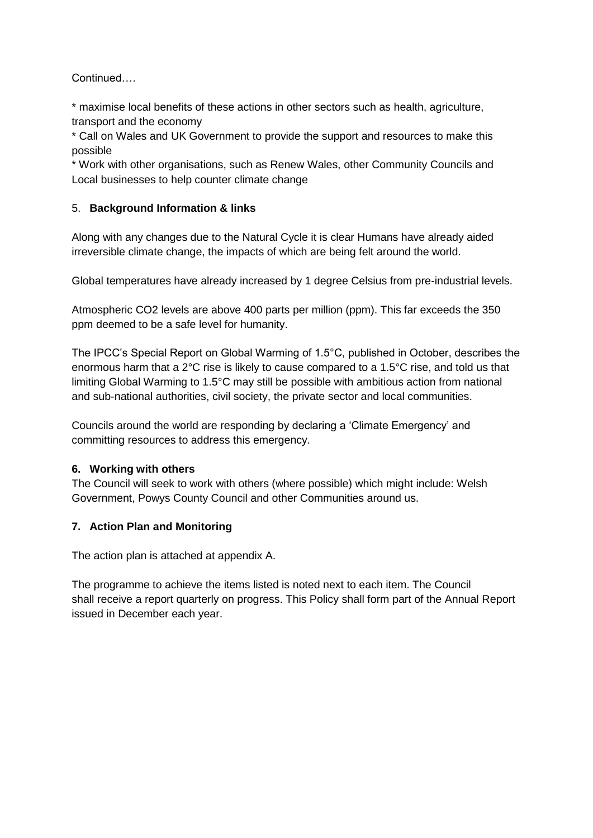Continued….

\* maximise local benefits of these actions in other sectors such as health, agriculture, transport and the economy

\* Call on Wales and UK Government to provide the support and resources to make this possible

\* Work with other organisations, such as Renew Wales, other Community Councils and Local businesses to help counter climate change

#### 5. **Background Information & links**

Along with any changes due to the Natural Cycle it is clear Humans have already aided irreversible climate change, the impacts of which are being felt around the world.

Global temperatures have already increased by 1 degree Celsius from pre-industrial levels.

Atmospheric CO2 levels are above 400 parts per million (ppm). This far exceeds the 350 ppm deemed to be a safe level for humanity.

The IPCC's Special Report on Global Warming of 1.5°C, published in October, describes the enormous harm that a 2°C rise is likely to cause compared to a 1.5°C rise, and told us that limiting Global Warming to 1.5°C may still be possible with ambitious action from national and sub-national authorities, civil society, the private sector and local communities.

Councils around the world are responding by declaring a 'Climate Emergency' and committing resources to address this emergency.

#### **6. Working with others**

The Council will seek to work with others (where possible) which might include: Welsh Government, Powys County Council and other Communities around us.

#### **7. Action Plan and Monitoring**

The action plan is attached at appendix A.

The programme to achieve the items listed is noted next to each item. The Council shall receive a report quarterly on progress. This Policy shall form part of the Annual Report issued in December each year.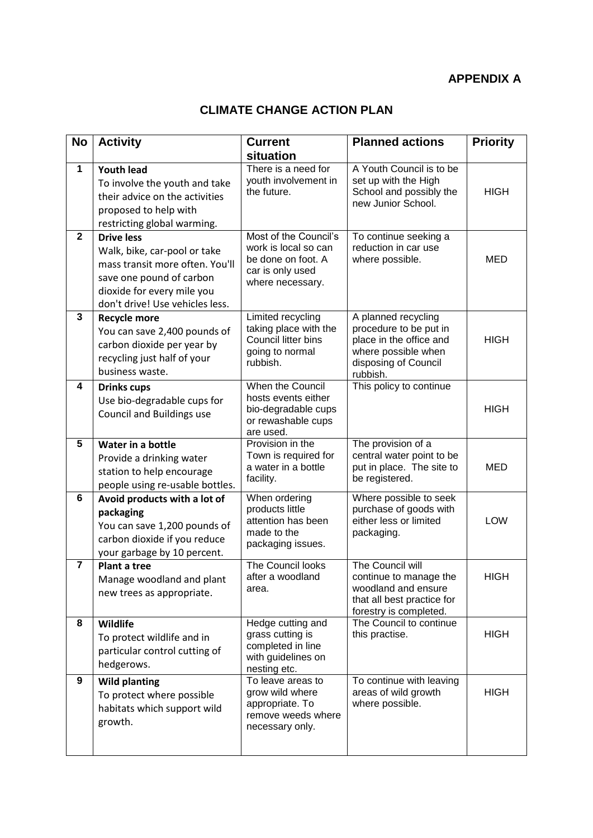### **APPENDIX A**

## **CLIMATE CHANGE ACTION PLAN**

| <b>No</b>      | <b>Activity</b>                                                                                                                                                                   | <b>Current</b><br>situation                                                                                 | <b>Planned actions</b>                                                                                                              | <b>Priority</b> |
|----------------|-----------------------------------------------------------------------------------------------------------------------------------------------------------------------------------|-------------------------------------------------------------------------------------------------------------|-------------------------------------------------------------------------------------------------------------------------------------|-----------------|
| 1              | <b>Youth lead</b><br>To involve the youth and take<br>their advice on the activities<br>proposed to help with<br>restricting global warming.                                      | There is a need for<br>youth involvement in<br>the future.                                                  | A Youth Council is to be<br>set up with the High<br>School and possibly the<br>new Junior School.                                   | <b>HIGH</b>     |
| $\mathbf{2}$   | <b>Drive less</b><br>Walk, bike, car-pool or take<br>mass transit more often. You'll<br>save one pound of carbon<br>dioxide for every mile you<br>don't drive! Use vehicles less. | Most of the Council's<br>work is local so can<br>be done on foot. A<br>car is only used<br>where necessary. | To continue seeking a<br>reduction in car use<br>where possible.                                                                    | <b>MED</b>      |
| 3              | <b>Recycle more</b><br>You can save 2,400 pounds of<br>carbon dioxide per year by<br>recycling just half of your<br>business waste.                                               | Limited recycling<br>taking place with the<br>Council litter bins<br>going to normal<br>rubbish.            | A planned recycling<br>procedure to be put in<br>place in the office and<br>where possible when<br>disposing of Council<br>rubbish. | <b>HIGH</b>     |
| 4              | <b>Drinks cups</b><br>Use bio-degradable cups for<br><b>Council and Buildings use</b>                                                                                             | When the Council<br>hosts events either<br>bio-degradable cups<br>or rewashable cups<br>are used.           | This policy to continue                                                                                                             | <b>HIGH</b>     |
| 5              | Water in a bottle<br>Provide a drinking water<br>station to help encourage<br>people using re-usable bottles.                                                                     | Provision in the<br>Town is required for<br>a water in a bottle<br>facility.                                | The provision of a<br>central water point to be<br>put in place. The site to<br>be registered.                                      | <b>MED</b>      |
| 6              | Avoid products with a lot of<br>packaging<br>You can save 1,200 pounds of<br>carbon dioxide if you reduce<br>your garbage by 10 percent.                                          | When ordering<br>products little<br>attention has been<br>made to the<br>packaging issues.                  | Where possible to seek<br>purchase of goods with<br>either less or limited<br>packaging.                                            | LOW             |
| $\overline{7}$ | Plant a tree<br>Manage woodland and plant<br>new trees as appropriate.                                                                                                            | The Council looks<br>after a woodland<br>area.                                                              | The Council will<br>continue to manage the<br>woodland and ensure<br>that all best practice for<br>forestry is completed.           | <b>HIGH</b>     |
| 8              | Wildlife<br>To protect wildlife and in<br>particular control cutting of<br>hedgerows.                                                                                             | Hedge cutting and<br>grass cutting is<br>completed in line<br>with guidelines on<br>nesting etc.            | The Council to continue<br>this practise.                                                                                           | <b>HIGH</b>     |
| 9              | <b>Wild planting</b><br>To protect where possible<br>habitats which support wild<br>growth.                                                                                       | To leave areas to<br>grow wild where<br>appropriate. To<br>remove weeds where<br>necessary only.            | To continue with leaving<br>areas of wild growth<br>where possible.                                                                 | <b>HIGH</b>     |